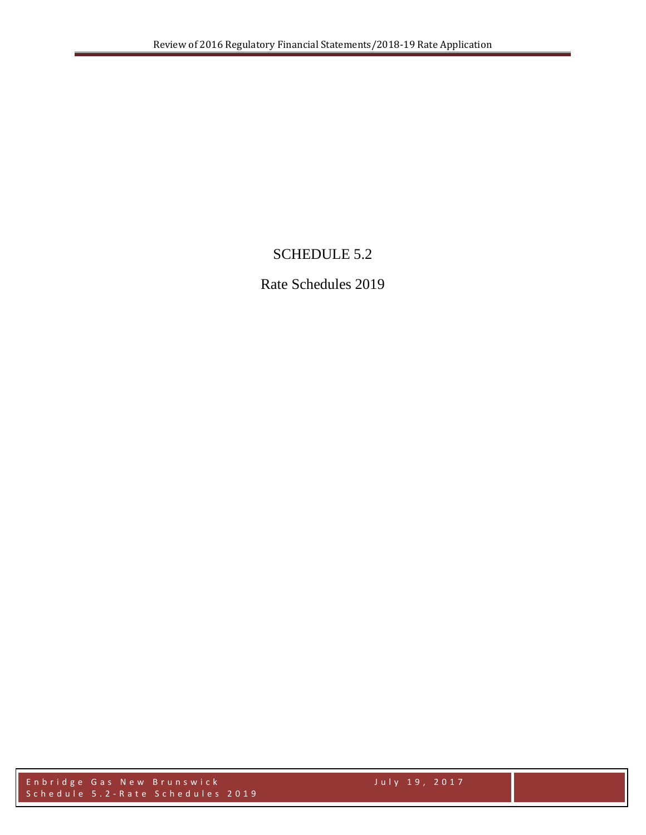## SCHEDULE 5.2

Rate Schedules 2019

Enbridge Gas New Brunswick July 19, 2017 Schedule 5. 2 - Rate Schedules 2019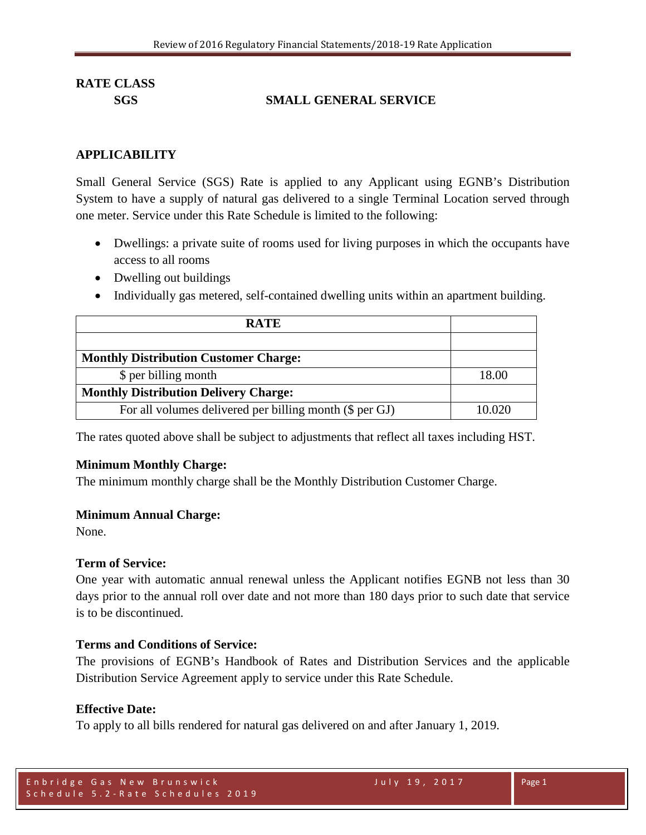## **SGS SMALL GENERAL SERVICE**

#### **APPLICABILITY**

Small General Service (SGS) Rate is applied to any Applicant using EGNB's Distribution System to have a supply of natural gas delivered to a single Terminal Location served through one meter. Service under this Rate Schedule is limited to the following:

- Dwellings: a private suite of rooms used for living purposes in which the occupants have access to all rooms
- Dwelling out buildings
- Individually gas metered, self-contained dwelling units within an apartment building.

| <b>RATE</b>                                             |        |
|---------------------------------------------------------|--------|
|                                                         |        |
| <b>Monthly Distribution Customer Charge:</b>            |        |
| \$ per billing month                                    | 18.00  |
| <b>Monthly Distribution Delivery Charge:</b>            |        |
| For all volumes delivered per billing month (\$ per GJ) | 10 020 |

The rates quoted above shall be subject to adjustments that reflect all taxes including HST.

#### **Minimum Monthly Charge:**

The minimum monthly charge shall be the Monthly Distribution Customer Charge.

#### **Minimum Annual Charge:**

None.

#### **Term of Service:**

One year with automatic annual renewal unless the Applicant notifies EGNB not less than 30 days prior to the annual roll over date and not more than 180 days prior to such date that service is to be discontinued.

#### **Terms and Conditions of Service:**

The provisions of EGNB's Handbook of Rates and Distribution Services and the applicable Distribution Service Agreement apply to service under this Rate Schedule.

#### **Effective Date:**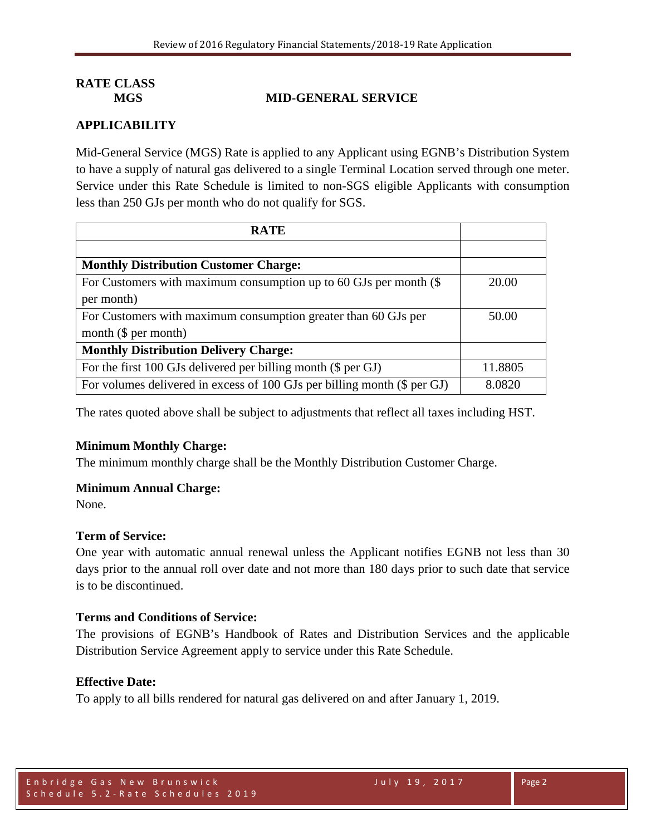## **MGS MID-GENERAL SERVICE**

## **APPLICABILITY**

Mid-General Service (MGS) Rate is applied to any Applicant using EGNB's Distribution System to have a supply of natural gas delivered to a single Terminal Location served through one meter. Service under this Rate Schedule is limited to non-SGS eligible Applicants with consumption less than 250 GJs per month who do not qualify for SGS.

| <b>RATE</b>                                                              |         |
|--------------------------------------------------------------------------|---------|
|                                                                          |         |
| <b>Monthly Distribution Customer Charge:</b>                             |         |
| For Customers with maximum consumption up to 60 GJs per month $(\$$      | 20.00   |
| per month)                                                               |         |
| For Customers with maximum consumption greater than 60 GJs per           | 50.00   |
| month $(\$ per month)$                                                   |         |
| <b>Monthly Distribution Delivery Charge:</b>                             |         |
| For the first 100 GJs delivered per billing month (\$ per GJ)            | 11.8805 |
| For volumes delivered in excess of 100 GJs per billing month (\$ per GJ) | 8.0820  |

The rates quoted above shall be subject to adjustments that reflect all taxes including HST.

## **Minimum Monthly Charge:**

The minimum monthly charge shall be the Monthly Distribution Customer Charge.

## **Minimum Annual Charge:**

None.

## **Term of Service:**

One year with automatic annual renewal unless the Applicant notifies EGNB not less than 30 days prior to the annual roll over date and not more than 180 days prior to such date that service is to be discontinued.

## **Terms and Conditions of Service:**

The provisions of EGNB's Handbook of Rates and Distribution Services and the applicable Distribution Service Agreement apply to service under this Rate Schedule.

#### **Effective Date:**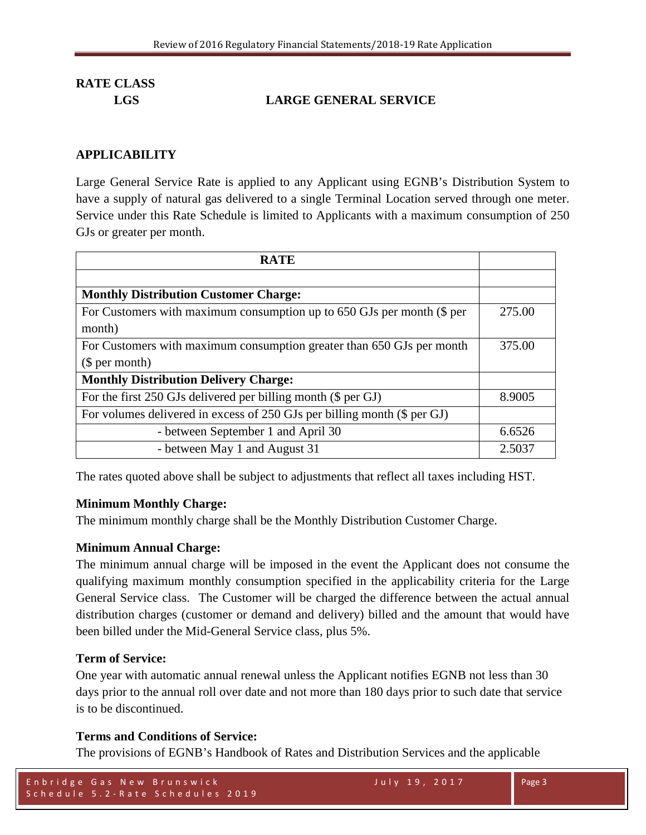## **LGS LARGE GENERAL SERVICE**

## **APPLICABILITY**

Large General Service Rate is applied to any Applicant using EGNB's Distribution System to have a supply of natural gas delivered to a single Terminal Location served through one meter. Service under this Rate Schedule is limited to Applicants with a maximum consumption of 250 GJs or greater per month.

| <b>RATE</b>                                                              |        |
|--------------------------------------------------------------------------|--------|
|                                                                          |        |
| <b>Monthly Distribution Customer Charge:</b>                             |        |
| For Customers with maximum consumption up to 650 GJs per month (\$ per   | 275.00 |
| month)                                                                   |        |
| For Customers with maximum consumption greater than 650 GJs per month    | 375.00 |
| \$per month)                                                             |        |
| <b>Monthly Distribution Delivery Charge:</b>                             |        |
| For the first 250 GJs delivered per billing month (\$ per GJ)            | 8.9005 |
| For volumes delivered in excess of 250 GJs per billing month (\$ per GJ) |        |
| - between September 1 and April 30                                       | 6.6526 |
| - between May 1 and August 31                                            | 2.5037 |

The rates quoted above shall be subject to adjustments that reflect all taxes including HST.

## **Minimum Monthly Charge:**

The minimum monthly charge shall be the Monthly Distribution Customer Charge.

## **Minimum Annual Charge:**

The minimum annual charge will be imposed in the event the Applicant does not consume the qualifying maximum monthly consumption specified in the applicability criteria for the Large General Service class. The Customer will be charged the difference between the actual annual distribution charges (customer or demand and delivery) billed and the amount that would have been billed under the Mid-General Service class, plus 5%.

## **Term of Service:**

One year with automatic annual renewal unless the Applicant notifies EGNB not less than 30 days prior to the annual roll over date and not more than 180 days prior to such date that service is to be discontinued.

## **Terms and Conditions of Service:**

The provisions of EGNB's Handbook of Rates and Distribution Services and the applicable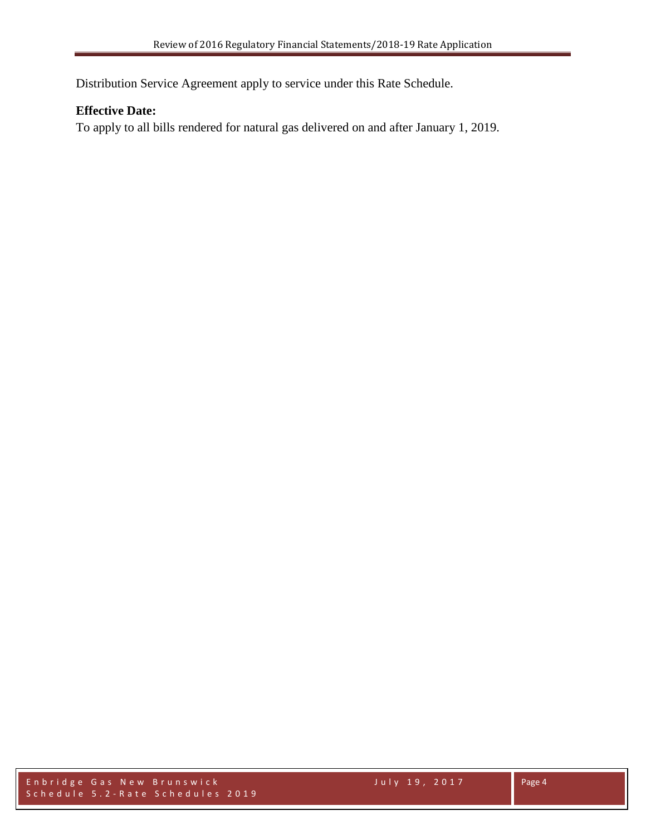Distribution Service Agreement apply to service under this Rate Schedule.

## **Effective Date:**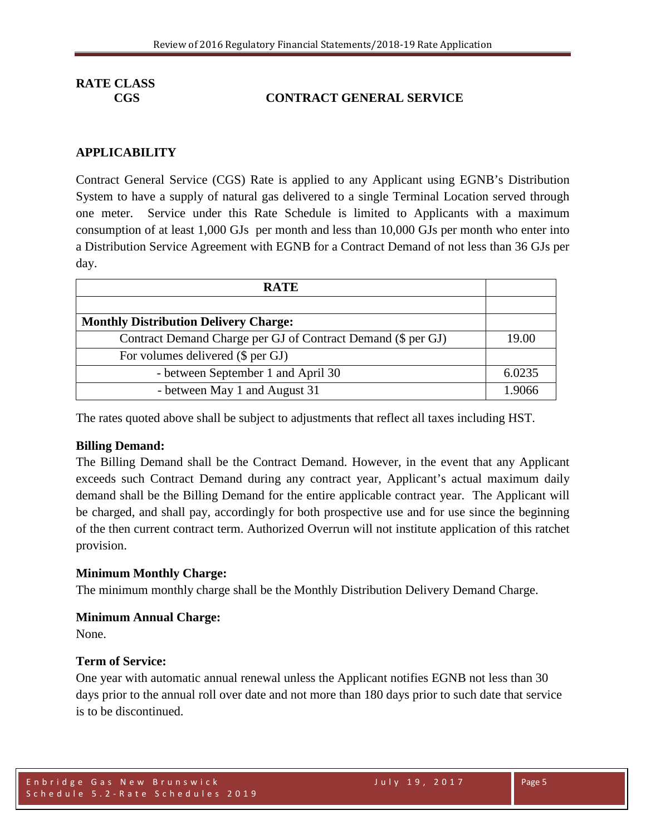## **CGS CONTRACT GENERAL SERVICE**

## **APPLICABILITY**

Contract General Service (CGS) Rate is applied to any Applicant using EGNB's Distribution System to have a supply of natural gas delivered to a single Terminal Location served through one meter. Service under this Rate Schedule is limited to Applicants with a maximum consumption of at least 1,000 GJs per month and less than 10,000 GJs per month who enter into a Distribution Service Agreement with EGNB for a Contract Demand of not less than 36 GJs per day.

| <b>RATE</b>                                                  |        |
|--------------------------------------------------------------|--------|
|                                                              |        |
| <b>Monthly Distribution Delivery Charge:</b>                 |        |
| Contract Demand Charge per GJ of Contract Demand (\$ per GJ) | 19.00  |
| For volumes delivered (\$ per GJ)                            |        |
| - between September 1 and April 30                           | 6.0235 |
| - between May 1 and August 31                                | 1.9066 |

The rates quoted above shall be subject to adjustments that reflect all taxes including HST.

#### **Billing Demand:**

The Billing Demand shall be the Contract Demand. However, in the event that any Applicant exceeds such Contract Demand during any contract year, Applicant's actual maximum daily demand shall be the Billing Demand for the entire applicable contract year. The Applicant will be charged, and shall pay, accordingly for both prospective use and for use since the beginning of the then current contract term. Authorized Overrun will not institute application of this ratchet provision.

## **Minimum Monthly Charge:**

The minimum monthly charge shall be the Monthly Distribution Delivery Demand Charge.

#### **Minimum Annual Charge:**

None.

#### **Term of Service:**

One year with automatic annual renewal unless the Applicant notifies EGNB not less than 30 days prior to the annual roll over date and not more than 180 days prior to such date that service is to be discontinued.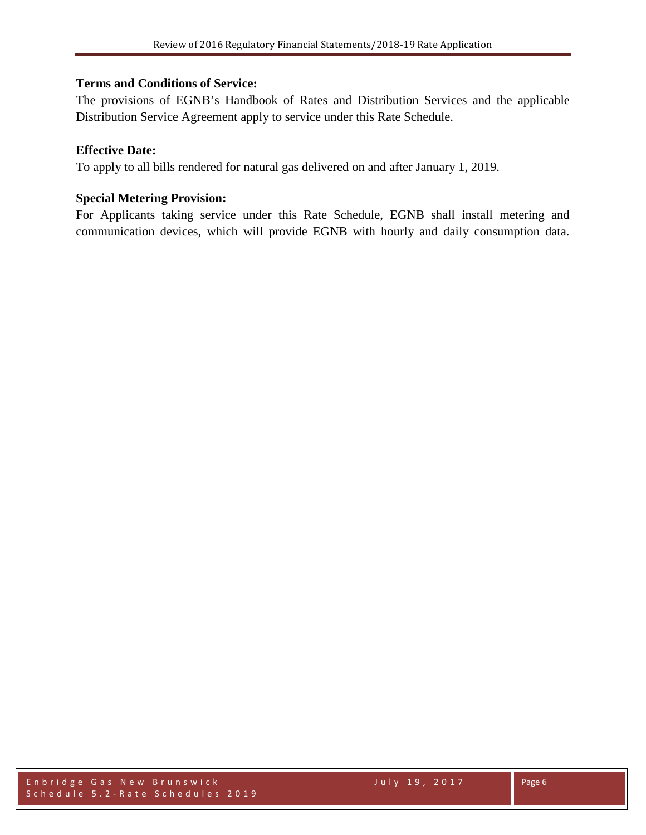## **Terms and Conditions of Service:**

The provisions of EGNB's Handbook of Rates and Distribution Services and the applicable Distribution Service Agreement apply to service under this Rate Schedule.

## **Effective Date:**

To apply to all bills rendered for natural gas delivered on and after January 1, 2019.

## **Special Metering Provision:**

For Applicants taking service under this Rate Schedule, EGNB shall install metering and communication devices, which will provide EGNB with hourly and daily consumption data.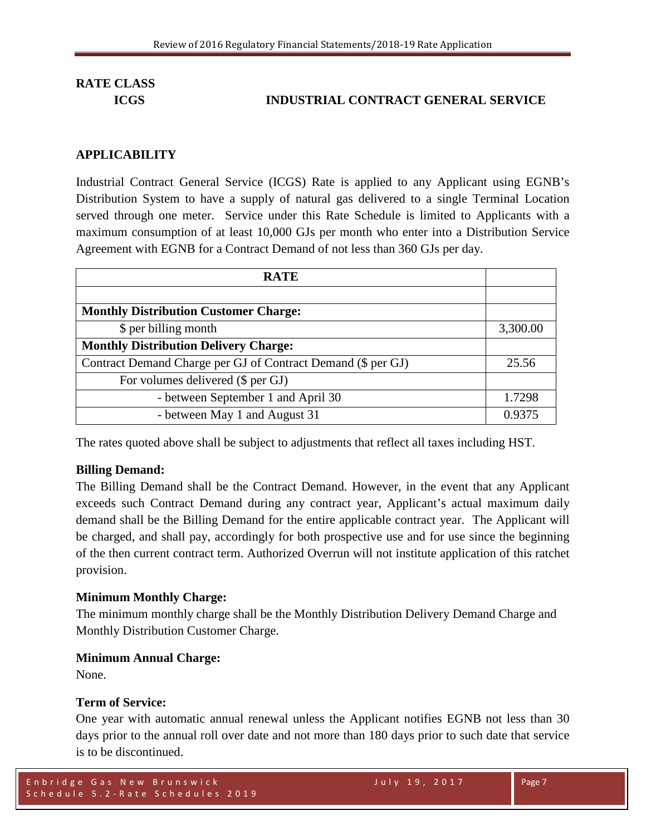## **ICGS INDUSTRIAL CONTRACT GENERAL SERVICE**

#### **APPLICABILITY**

Industrial Contract General Service (ICGS) Rate is applied to any Applicant using EGNB's Distribution System to have a supply of natural gas delivered to a single Terminal Location served through one meter. Service under this Rate Schedule is limited to Applicants with a maximum consumption of at least 10,000 GJs per month who enter into a Distribution Service Agreement with EGNB for a Contract Demand of not less than 360 GJs per day.

| <b>RATE</b>                                                  |          |
|--------------------------------------------------------------|----------|
|                                                              |          |
| <b>Monthly Distribution Customer Charge:</b>                 |          |
| \$ per billing month                                         | 3,300.00 |
| <b>Monthly Distribution Delivery Charge:</b>                 |          |
| Contract Demand Charge per GJ of Contract Demand (\$ per GJ) | 25.56    |
| For volumes delivered (\$ per GJ)                            |          |
| - between September 1 and April 30                           | 1.7298   |
| - between May 1 and August 31                                | 0.9375   |

The rates quoted above shall be subject to adjustments that reflect all taxes including HST.

#### **Billing Demand:**

The Billing Demand shall be the Contract Demand. However, in the event that any Applicant exceeds such Contract Demand during any contract year, Applicant's actual maximum daily demand shall be the Billing Demand for the entire applicable contract year. The Applicant will be charged, and shall pay, accordingly for both prospective use and for use since the beginning of the then current contract term. Authorized Overrun will not institute application of this ratchet provision.

#### **Minimum Monthly Charge:**

The minimum monthly charge shall be the Monthly Distribution Delivery Demand Charge and Monthly Distribution Customer Charge.

#### **Minimum Annual Charge:**

None.

#### **Term of Service:**

One year with automatic annual renewal unless the Applicant notifies EGNB not less than 30 days prior to the annual roll over date and not more than 180 days prior to such date that service is to be discontinued.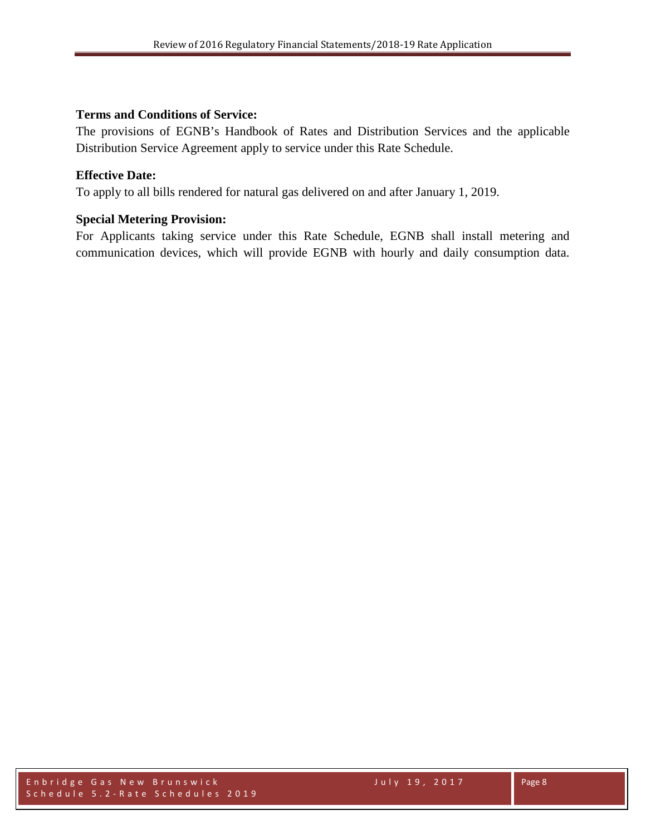## **Terms and Conditions of Service:**

The provisions of EGNB's Handbook of Rates and Distribution Services and the applicable Distribution Service Agreement apply to service under this Rate Schedule.

## **Effective Date:**

To apply to all bills rendered for natural gas delivered on and after January 1, 2019.

## **Special Metering Provision:**

For Applicants taking service under this Rate Schedule, EGNB shall install metering and communication devices, which will provide EGNB with hourly and daily consumption data.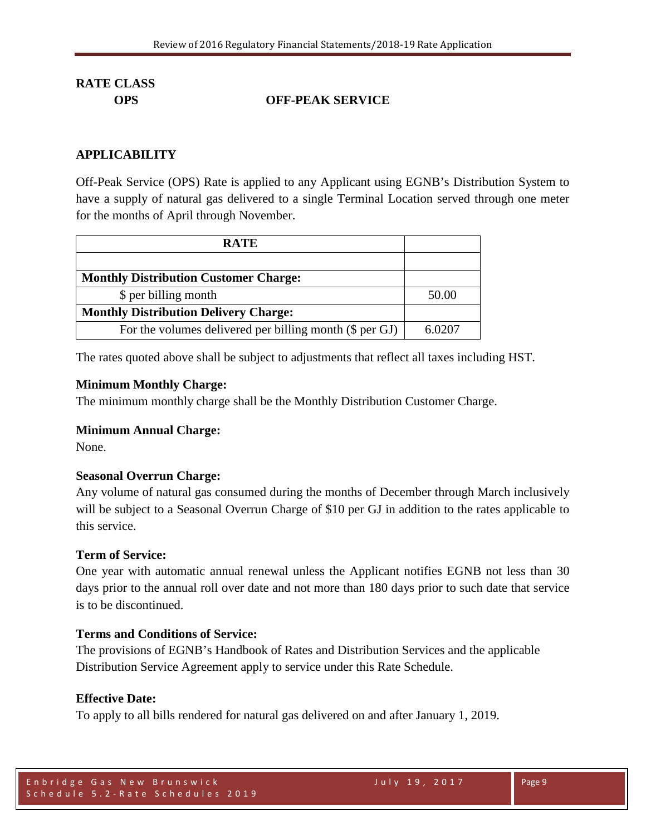## **OPS OFF-PEAK SERVICE**

## **APPLICABILITY**

Off-Peak Service (OPS) Rate is applied to any Applicant using EGNB's Distribution System to have a supply of natural gas delivered to a single Terminal Location served through one meter for the months of April through November.

| <b>RATE</b>                                               |        |
|-----------------------------------------------------------|--------|
|                                                           |        |
| <b>Monthly Distribution Customer Charge:</b>              |        |
| \$ per billing month                                      | 50.00  |
| <b>Monthly Distribution Delivery Charge:</b>              |        |
| For the volumes delivered per billing month $(\$$ per GJ) | 6.0207 |

The rates quoted above shall be subject to adjustments that reflect all taxes including HST.

#### **Minimum Monthly Charge:**

The minimum monthly charge shall be the Monthly Distribution Customer Charge.

## **Minimum Annual Charge:**

None.

## **Seasonal Overrun Charge:**

Any volume of natural gas consumed during the months of December through March inclusively will be subject to a Seasonal Overrun Charge of \$10 per GJ in addition to the rates applicable to this service.

## **Term of Service:**

One year with automatic annual renewal unless the Applicant notifies EGNB not less than 30 days prior to the annual roll over date and not more than 180 days prior to such date that service is to be discontinued.

## **Terms and Conditions of Service:**

The provisions of EGNB's Handbook of Rates and Distribution Services and the applicable Distribution Service Agreement apply to service under this Rate Schedule.

#### **Effective Date:**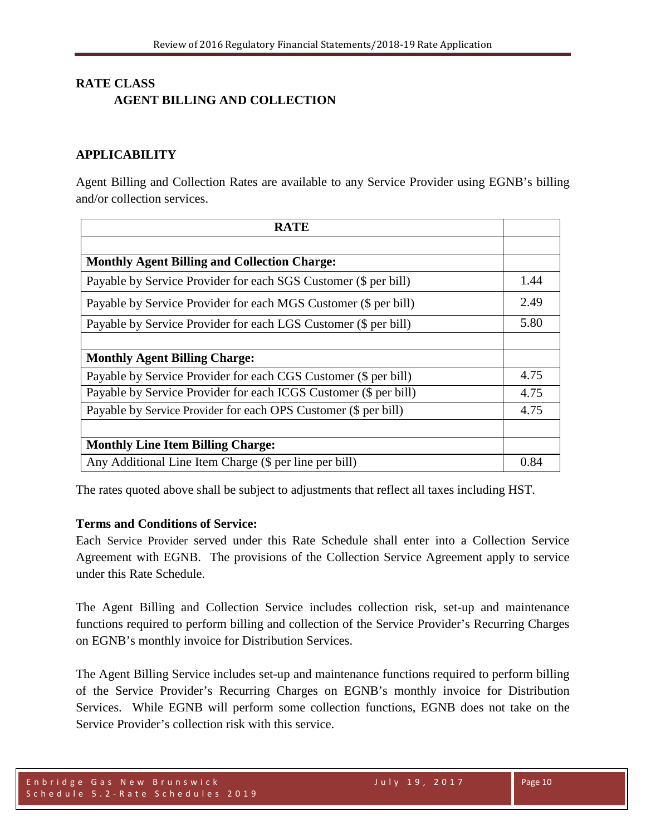## **RATE CLASS AGENT BILLING AND COLLECTION**

## **APPLICABILITY**

Agent Billing and Collection Rates are available to any Service Provider using EGNB's billing and/or collection services.

| <b>RATE</b>                                                      |      |
|------------------------------------------------------------------|------|
|                                                                  |      |
| <b>Monthly Agent Billing and Collection Charge:</b>              |      |
| Payable by Service Provider for each SGS Customer (\$ per bill)  | 1.44 |
| Payable by Service Provider for each MGS Customer (\$ per bill)  | 2.49 |
| Payable by Service Provider for each LGS Customer (\$ per bill)  | 5.80 |
|                                                                  |      |
| <b>Monthly Agent Billing Charge:</b>                             |      |
| Payable by Service Provider for each CGS Customer (\$ per bill)  | 4.75 |
| Payable by Service Provider for each ICGS Customer (\$ per bill) | 4.75 |
| Payable by Service Provider for each OPS Customer (\$ per bill)  | 4.75 |
|                                                                  |      |
| <b>Monthly Line Item Billing Charge:</b>                         |      |
| Any Additional Line Item Charge (\$ per line per bill)           | 0.84 |

The rates quoted above shall be subject to adjustments that reflect all taxes including HST.

## **Terms and Conditions of Service:**

Each Service Provider served under this Rate Schedule shall enter into a Collection Service Agreement with EGNB. The provisions of the Collection Service Agreement apply to service under this Rate Schedule.

The Agent Billing and Collection Service includes collection risk, set-up and maintenance functions required to perform billing and collection of the Service Provider's Recurring Charges on EGNB's monthly invoice for Distribution Services.

The Agent Billing Service includes set-up and maintenance functions required to perform billing of the Service Provider's Recurring Charges on EGNB's monthly invoice for Distribution Services. While EGNB will perform some collection functions, EGNB does not take on the Service Provider's collection risk with this service.